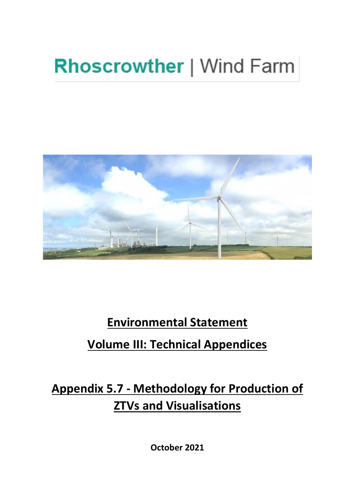# **Rhoscrowther | Wind Farm**



### **Environmental Statement**

### **Volume III: Technical Appendices**

## **Appendix 5.7 - Methodology for Production of ZTVs and Visualisations**

**October 2021**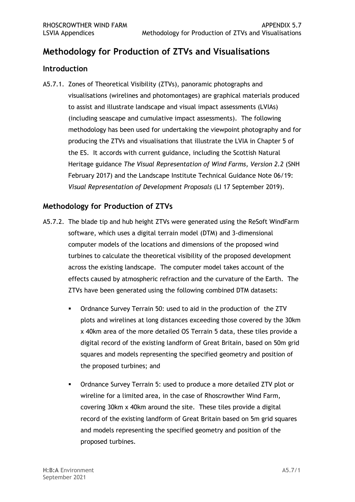#### **Methodology for Production of ZTVs and Visualisations**

#### **Introduction**

 A5.7.1. Zones of Theoretical Visibility (ZTVs), panoramic photographs and visualisations (wirelines and photomontages) are graphical materials produced to assist and illustrate landscape and visual impact assessments (LVIAs) (including seascape and cumulative impact assessments). The following methodology has been used for undertaking the viewpoint photography and for producing the ZTVs and visualisations that illustrate the LVIA in Chapter 5 of the ES. It accords with current guidance, including the Scottish Natural Heritage guidance *The Visual Representation of Wind Farms, Version 2.2* (SNH February 2017) and the Landscape Institute Technical Guidance Note 06/19: *Visual Representation of Development Proposals* (LI 17 September 2019).

#### **Methodology for Production of ZTVs**

- A5.7.2. The blade tip and hub height ZTVs were generated using the ReSoft WindFarm software, which uses a digital terrain model (DTM) and 3-dimensional computer models of the locations and dimensions of the proposed wind turbines to calculate the theoretical visibility of the proposed development across the existing landscape. The computer model takes account of the effects caused by atmospheric refraction and the curvature of the Earth. The ZTVs have been generated using the following combined DTM datasets:
	- ▪ Ordnance Survey Terrain 50: used to aid in the production of the ZTV plots and wirelines at long distances exceeding those covered by the 30km x 40km area of the more detailed OS Terrain 5 data, these tiles provide a digital record of the existing landform of Great Britain, based on 50m grid squares and models representing the specified geometry and position of the proposed turbines; and
	- ▪ Ordnance Survey Terrain 5: used to produce a more detailed ZTV plot or wireline for a limited area, in the case of Rhoscrowther Wind Farm, covering 30km x 40km around the site. These tiles provide a digital record of the existing landform of Great Britain based on 5m grid squares and models representing the specified geometry and position of the proposed turbines.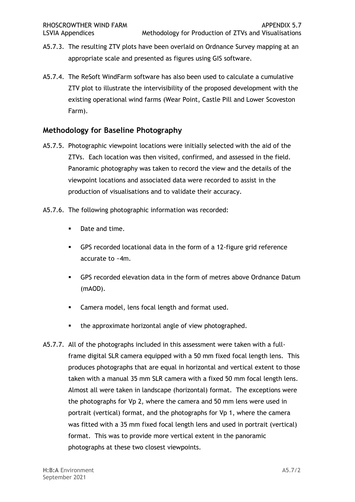- A5.7.3. The resulting ZTV plots have been overlaid on Ordnance Survey mapping at an appropriate scale and presented as figures using GIS software.
- A5.7.4. The ReSoft WindFarm software has also been used to calculate a cumulative ZTV plot to illustrate the intervisibility of the proposed development with the Farm). existing operational wind farms (Wear Point, Castle Pill and Lower Scoveston

#### **Methodology for Baseline Photography**

- A5.7.5. Photographic viewpoint locations were initially selected with the aid of the ZTVs. Each location was then visited, confirmed, and assessed in the field. Panoramic photography was taken to record the view and the details of the viewpoint locations and associated data were recorded to assist in the production of visualisations and to validate their accuracy.
- A5.7.6. The following photographic information was recorded:
	- Date and time.
	- ▪ GPS recorded locational data in the form of a 12-figure grid reference accurate to ~4m.
	- ▪ GPS recorded elevation data in the form of metres above Ordnance Datum (mAOD).
	- Camera model, lens focal length and format used.
	- the approximate horizontal angle of view photographed.
- A5.7.7. All of the photographs included in this assessment were taken with a full- frame digital SLR camera equipped with a 50 mm fixed focal length lens. This produces photographs that are equal in horizontal and vertical extent to those taken with a manual 35 mm SLR camera with a fixed 50 mm focal length lens. Almost all were taken in landscape (horizontal) format. The exceptions were the photographs for Vp 2, where the camera and 50 mm lens were used in portrait (vertical) format, and the photographs for Vp 1, where the camera was fitted with a 35 mm fixed focal length lens and used in portrait (vertical) format. This was to provide more vertical extent in the panoramic photographs at these two closest viewpoints.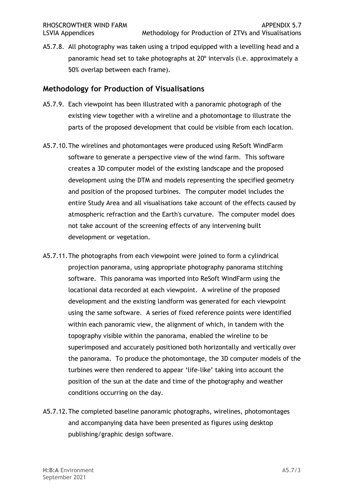A5.7.8. All photography was taken using a tripod equipped with a levelling head and a panoramic head set to take photographs at 20º intervals (i.e. approximately a 50% overlap between each frame).

#### **Methodology for Production of Visualisations**

- A5.7.9. Each viewpoint has been illustrated with a panoramic photograph of the existing view together with a wireline and a photomontage to illustrate the parts of the proposed development that could be visible from each location.
- A5.7.10.The wirelines and photomontages were produced using ReSoft WindFarm software to generate a perspective view of the wind farm. This software creates a 3D computer model of the existing landscape and the proposed development using the DTM and models representing the specified geometry and position of the proposed turbines. The computer model includes the entire Study Area and all visualisations take account of the effects caused by atmospheric refraction and the Earth's curvature. The computer model does not take account of the screening effects of any intervening built development or vegetation.
- A5.7.11.The photographs from each viewpoint were joined to form a cylindrical projection panorama, using appropriate photography panorama stitching software. This panorama was imported into ReSoft WindFarm using the locational data recorded at each viewpoint. A wireline of the proposed development and the existing landform was generated for each viewpoint using the same software. A series of fixed reference points were identified within each panoramic view, the alignment of which, in tandem with the topography visible within the panorama, enabled the wireline to be superimposed and accurately positioned both horizontally and vertically over the panorama. To produce the photomontage, the 3D computer models of the turbines were then rendered to appear 'life-like' taking into account the position of the sun at the date and time of the photography and weather conditions occurring on the day.
- A5.7.12.The completed baseline panoramic photographs, wirelines, photomontages and accompanying data have been presented as figures using desktop publishing/graphic design software.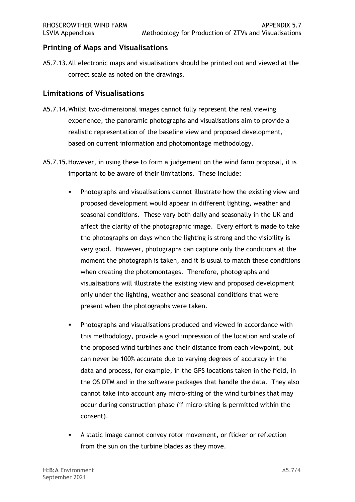#### **Printing of Maps and Visualisations**

 A5.7.13.All electronic maps and visualisations should be printed out and viewed at the correct scale as noted on the drawings.

#### **Limitations of Visualisations**

- A5.7.14.Whilst two-dimensional images cannot fully represent the real viewing experience, the panoramic photographs and visualisations aim to provide a realistic representation of the baseline view and proposed development, based on current information and photomontage methodology.
- based on current information and photomontage methodology.<br>A5.7.15.However, in using these to form a judgement on the wind farm proposal, it is important to be aware of their limitations. These include:
	- **•** Photographs and visualisations cannot illustrate how the existing view and proposed development would appear in different lighting, weather and seasonal conditions. These vary both daily and seasonally in the UK and affect the clarity of the photographic image. Every effort is made to take the photographs on days when the lighting is strong and the visibility is very good. However, photographs can capture only the conditions at the moment the photograph is taken, and it is usual to match these conditions when creating the photomontages. Therefore, photographs and visualisations will illustrate the existing view and proposed development only under the lighting, weather and seasonal conditions that were present when the photographs were taken.
	- **•** Photographs and visualisations produced and viewed in accordance with this methodology, provide a good impression of the location and scale of can never be 100% accurate due to varying degrees of accuracy in the data and process, for example, in the GPS locations taken in the field, in the OS DTM and in the software packages that handle the data. They also cannot take into account any micro-siting of the wind turbines that may occur during construction phase (if micro-siting is permitted within the consent). the proposed wind turbines and their distance from each viewpoint, but
	- **EXTED A static image cannot convey rotor movement, or flicker or reflection** from the sun on the turbine blades as they move.